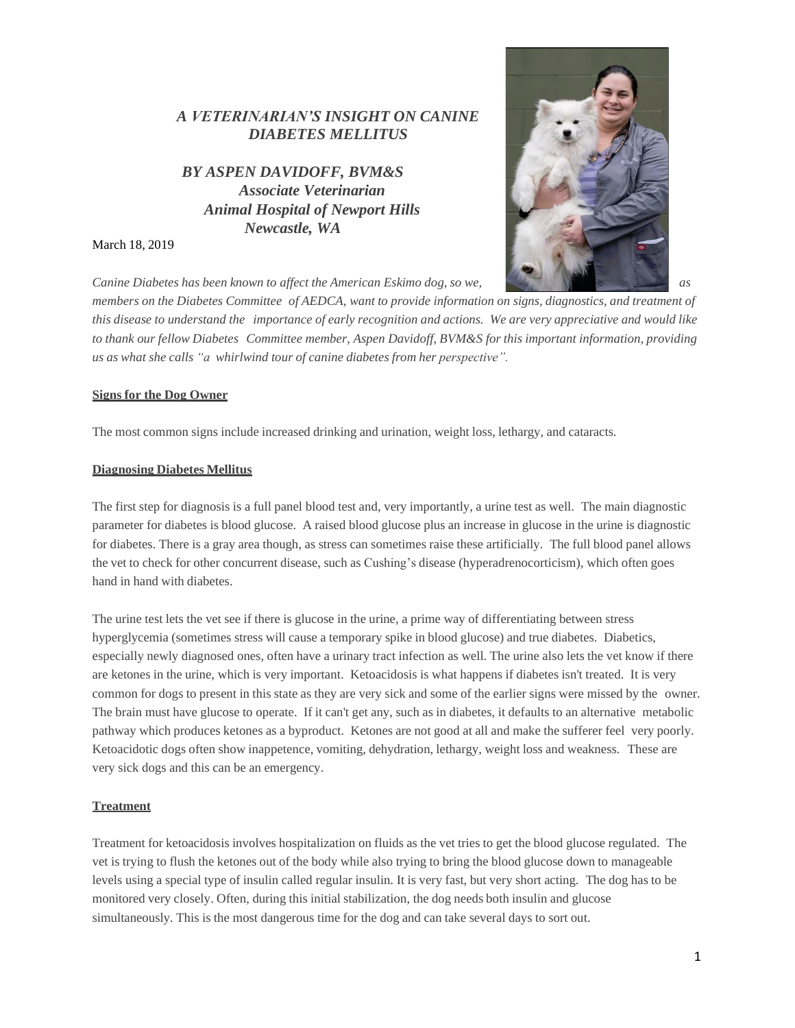# *A VETERINARIAN'S INSIGHT ON CANINE DIABETES MELLITUS*

*BY ASPEN DAVIDOFF, BVM&S Associate Veterinarian Animal Hospital of Newport Hills Newcastle, WA*

March 18, 2019

*Canine Diabetes has been known to affect the American Eskimo dog, so we, as*



members on the Diabetes Committee of AEDCA, want to provide information on signs, diagnostics, and treatment of this disease to understand the importance of early recognition and actions. We are very appreciative and would like *to thank our fellow Diabetes Committee member, Aspen Davidoff, BVM&S for this important information, providing us as what she calls "a whirlwind tour of canine diabetes from her perspective".*

### **Signs for the Dog Owner**

The most common signs include increased drinking and urination, weight loss, lethargy, and cataracts.

### **Diagnosing Diabetes Mellitus**

The first step for diagnosis is a full panel blood test and, very importantly, a urine test as well. The main diagnostic parameter for diabetes is blood glucose. A raised blood glucose plus an increase in glucose in the urine is diagnostic for diabetes. There is a gray area though, as stress can sometimes raise these artificially. The full blood panel allows the vet to check for other concurrent disease, such as Cushing's disease (hyperadrenocorticism), which often goes hand in hand with diabetes.

The urine test lets the vet see if there is glucose in the urine, a prime way of differentiating between stress hyperglycemia (sometimes stress will cause a temporary spike in blood glucose) and true diabetes. Diabetics, especially newly diagnosed ones, often have a urinary tract infection as well. The urine also lets the vet know if there are ketones in the urine, which is very important. Ketoacidosis is what happens if diabetes isn't treated. It is very common for dogs to present in this state as they are very sick and some of the earlier signs were missed by the owner. The brain must have glucose to operate. If it can't get any, such as in diabetes, it defaults to an alternative metabolic pathway which produces ketones as a byproduct. Ketones are not good at all and make the sufferer feel very poorly. Ketoacidotic dogs often show inappetence, vomiting, dehydration, lethargy, weight loss and weakness. These are very sick dogs and this can be an emergency.

## **Treatment**

Treatment for ketoacidosis involves hospitalization on fluids as the vet tries to get the blood glucose regulated. The vet is trying to flush the ketones out of the body while also trying to bring the blood glucose down to manageable levels using a special type of insulin called regular insulin. It is very fast, but very short acting. The dog has to be monitored very closely. Often, during this initial stabilization, the dog needs both insulin and glucose simultaneously. This is the most dangerous time for the dog and can take several days to sort out.